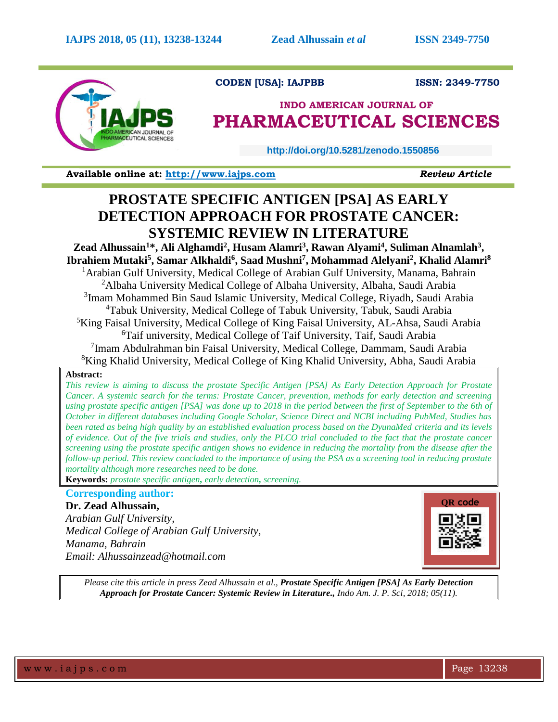

# **CODEN [USA]: IAJPBB ISSN: 2349-7750**

# **INDO AMERICAN JOURNAL OF PHARMACEUTICAL SCIENCES**

 **http://doi.org/10.5281/zenodo.1550856** 

**Available online at: [http://www.iajps.com](http://www.iajps.com/)** *Review Article*

# **PROSTATE SPECIFIC ANTIGEN [PSA] AS EARLY DETECTION APPROACH FOR PROSTATE CANCER: SYSTEMIC REVIEW IN LITERATURE**

**Zead Alhussain<sup>1</sup>\*, Ali Alghamdi<sup>2</sup> , Husam Alamri<sup>3</sup> , Rawan Alyami<sup>4</sup> , Suliman Alnamlah<sup>3</sup> , Ibrahiem Mutaki<sup>5</sup> , Samar Alkhaldi<sup>6</sup> , Saad Mushni<sup>7</sup> , Mohammad Alelyani<sup>2</sup> , Khalid Alamri<sup>8</sup>** <sup>1</sup> Arabian Gulf University, Medical College of Arabian Gulf University, Manama, Bahrain <sup>2</sup>Albaha University Medical College of Albaha University, Albaha, Saudi Arabia <sup>3</sup>Imam Mohammed Bin Saud Islamic University, Medical College, Riyadh, Saudi Arabia <sup>4</sup>Tabuk University, Medical College of Tabuk University, Tabuk, Saudi Arabia <sup>5</sup>King Faisal University, Medical College of King Faisal University, AL-Ahsa, Saudi Arabia <sup>6</sup>Taif university, Medical College of Taif University, Taif, Saudi Arabia <sup>7</sup>Imam Abdulrahman bin Faisal University, Medical College, Dammam, Saudi Arabia <sup>8</sup>King Khalid University, Medical College of King Khalid University, Abha, Saudi Arabia

## **Abstract:**

*This review is aiming to discuss the prostate Specific Antigen [PSA] As Early Detection Approach for Prostate Cancer. A systemic search for the terms: Prostate Cancer, prevention, methods for early detection and screening using prostate specific antigen [PSA] was done up to 2018 in the period between the first of September to the 6th of October in different databases including Google Scholar, Science Direct and NCBI including PubMed, Studies has been rated as being high quality by an established evaluation process based on the DyunaMed criteria and its levels of evidence. Out of the five trials and studies, only the PLCO trial concluded to the fact that the prostate cancer screening using the prostate specific antigen shows no evidence in reducing the mortality from the disease after the follow-up period. This review concluded to the importance of using the PSA as a screening tool in reducing prostate mortality although more researches need to be done.*

**Keywords:** *prostate specific antigen, early detection, screening.*

# **Corresponding author:**

**Dr. Zead Alhussain,**  *Arabian Gulf University, Medical College of Arabian Gulf University, Manama, Bahrain Email: Alhussainzead@hotmail.com*



*Please cite this article in press Zead Alhussain et al., Prostate Specific Antigen [PSA] As Early Detection Approach for Prostate Cancer: Systemic Review in Literature., Indo Am. J. P. Sci, 2018; 05(11).*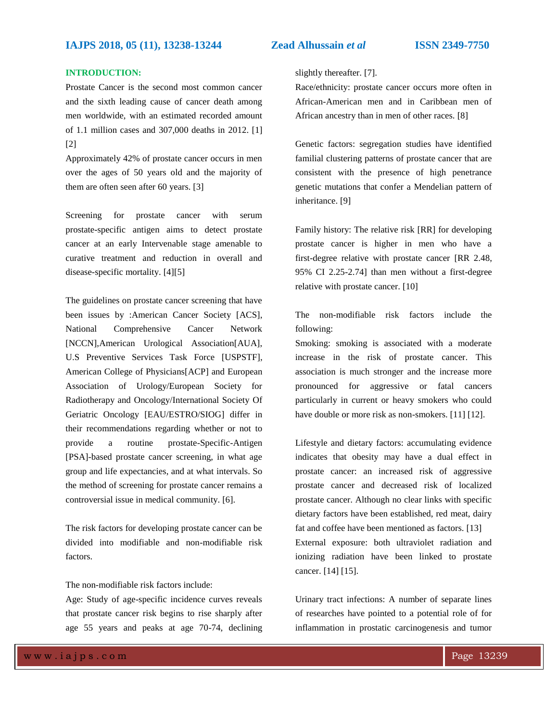### **INTRODUCTION:**

Prostate Cancer is the second most common cancer and the sixth leading cause of cancer death among men worldwide, with an estimated recorded amount of 1.1 million cases and 307,000 deaths in 2012. [1] [2]

Approximately 42% of prostate cancer occurs in men over the ages of 50 years old and the majority of them are often seen after 60 years. [3]

Screening for prostate cancer with serum prostate-specific antigen aims to detect prostate cancer at an early Intervenable stage amenable to curative treatment and reduction in overall and disease-specific mortality. [4][5]

The guidelines on prostate cancer screening that have been issues by :American Cancer Society [ACS], National Comprehensive Cancer Network [NCCN],American Urological Association[AUA], U.S Preventive Services Task Force [USPSTF], American College of Physicians[ACP] and European Association of Urology/European Society for Radiotherapy and Oncology/International Society Of Geriatric Oncology [EAU/ESTRO/SIOG] differ in their recommendations regarding whether or not to provide a routine prostate-Specific-Antigen [PSA]-based prostate cancer screening, in what age group and life expectancies, and at what intervals. So the method of screening for prostate cancer remains a controversial issue in medical community. [6].

The risk factors for developing prostate cancer can be divided into modifiable and non-modifiable risk factors.

The non-modifiable risk factors include:

Age: Study of age-specific incidence curves reveals that prostate cancer risk begins to rise sharply after age 55 years and peaks at age 70-74, declining slightly thereafter. [7].

Race/ethnicity: prostate cancer occurs more often in African-American men and in Caribbean men of African ancestry than in men of other races. [8]

Genetic factors: segregation studies have identified familial clustering patterns of prostate cancer that are consistent with the presence of high penetrance genetic mutations that confer a Mendelian pattern of inheritance. [9]

Family history: The relative risk [RR] for developing prostate cancer is higher in men who have a first-degree relative with prostate cancer [RR 2.48, 95% CI 2.25-2.74] than men without a first-degree relative with prostate cancer. [10]

The non-modifiable risk factors include the following:

Smoking: smoking is associated with a moderate increase in the risk of prostate cancer. This association is much stronger and the increase more pronounced for aggressive or fatal cancers particularly in current or heavy smokers who could have double or more risk as non-smokers. [11] [12].

Lifestyle and dietary factors: accumulating evidence indicates that obesity may have a dual effect in prostate cancer: an increased risk of aggressive prostate cancer and decreased risk of localized prostate cancer. Although no clear links with specific dietary factors have been established, red meat, dairy fat and coffee have been mentioned as factors. [13] External exposure: both ultraviolet radiation and ionizing radiation have been linked to prostate cancer. [14] [15].

Urinary tract infections: A number of separate lines of researches have pointed to a potential role of for inflammation in prostatic carcinogenesis and tumor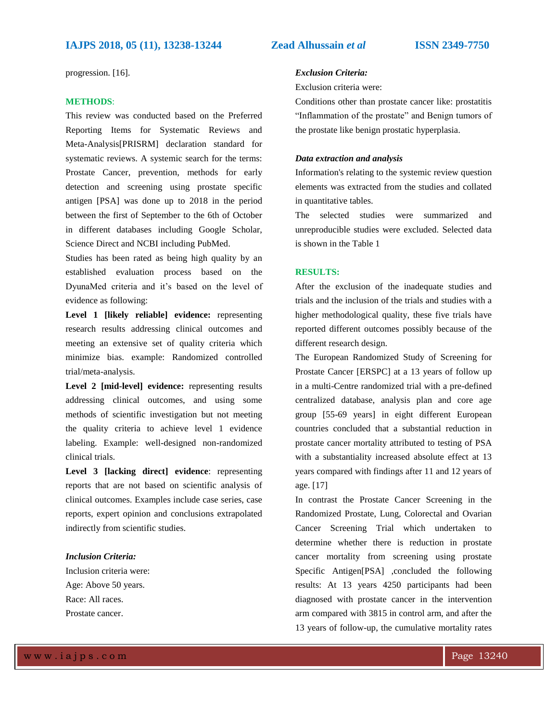progression. [16].

#### **METHODS**:

This review was conducted based on the Preferred Reporting Items for Systematic Reviews and Meta-Analysis[PRISRM] declaration standard for systematic reviews. A systemic search for the terms: Prostate Cancer, prevention, methods for early detection and screening using prostate specific antigen [PSA] was done up to 2018 in the period between the first of September to the 6th of October in different databases including Google Scholar, Science Direct and NCBI including PubMed.

Studies has been rated as being high quality by an established evaluation process based on the DyunaMed criteria and it's based on the level of evidence as following:

**Level 1 [likely reliable] evidence:** representing research results addressing clinical outcomes and meeting an extensive set of quality criteria which minimize bias. example: Randomized controlled trial/meta-analysis.

**Level 2 [mid-level] evidence:** representing results addressing clinical outcomes, and using some methods of scientific investigation but not meeting the quality criteria to achieve level 1 evidence labeling. Example: well-designed non-randomized clinical trials.

**Level 3 [lacking direct] evidence**: representing reports that are not based on scientific analysis of clinical outcomes. Examples include case series, case reports, expert opinion and conclusions extrapolated indirectly from scientific studies.

### *Inclusion Criteria:*

Inclusion criteria were: Age: Above 50 years. Race: All races. Prostate cancer.

#### *Exclusion Criteria:*

#### Exclusion criteria were:

Conditions other than prostate cancer like: prostatitis "Inflammation of the prostate" and Benign tumors of the prostate like benign prostatic hyperplasia.

#### *Data extraction and analysis*

Information's relating to the systemic review question elements was extracted from the studies and collated in quantitative tables.

The selected studies were summarized and unreproducible studies were excluded. Selected data is shown in the Table 1

#### **RESULTS:**

After the exclusion of the inadequate studies and trials and the inclusion of the trials and studies with a higher methodological quality, these five trials have reported different outcomes possibly because of the different research design.

The European Randomized Study of Screening for Prostate Cancer [ERSPC] at a 13 years of follow up in a multi-Centre randomized trial with a pre-defined centralized database, analysis plan and core age group [55-69 years] in eight different European countries concluded that a substantial reduction in prostate cancer mortality attributed to testing of PSA with a substantiality increased absolute effect at 13 years compared with findings after 11 and 12 years of age. [17]

In contrast the Prostate Cancer Screening in the Randomized Prostate, Lung, Colorectal and Ovarian Cancer Screening Trial which undertaken to determine whether there is reduction in prostate cancer mortality from screening using prostate Specific Antigen[PSA] ,concluded the following results: At 13 years 4250 participants had been diagnosed with prostate cancer in the intervention arm compared with 3815 in control arm, and after the 13 years of follow-up, the cumulative mortality rates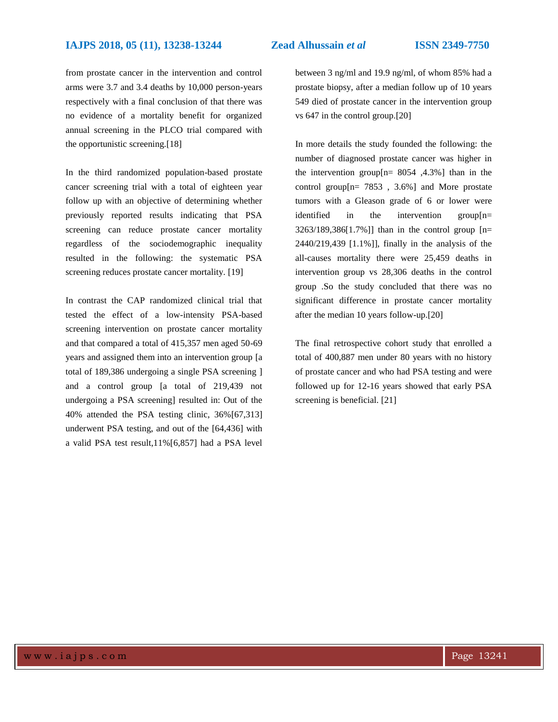from prostate cancer in the intervention and control arms were 3.7 and 3.4 deaths by 10,000 person-years respectively with a final conclusion of that there was no evidence of a mortality benefit for organized annual screening in the PLCO trial compared with the opportunistic screening.[18]

In the third randomized population-based prostate cancer screening trial with a total of eighteen year follow up with an objective of determining whether previously reported results indicating that PSA screening can reduce prostate cancer mortality regardless of the sociodemographic inequality resulted in the following: the systematic PSA screening reduces prostate cancer mortality. [19]

In contrast the CAP randomized clinical trial that tested the effect of a low-intensity PSA-based screening intervention on prostate cancer mortality and that compared a total of 415,357 men aged 50-69 years and assigned them into an intervention group [a total of 189,386 undergoing a single PSA screening ] and a control group [a total of 219,439 not undergoing a PSA screening] resulted in: Out of the 40% attended the PSA testing clinic, 36%[67,313] underwent PSA testing, and out of the [64,436] with a valid PSA test result,11%[6,857] had a PSA level

between 3 ng/ml and 19.9 ng/ml, of whom 85% had a prostate biopsy, after a median follow up of 10 years 549 died of prostate cancer in the intervention group vs 647 in the control group.[20]

In more details the study founded the following: the number of diagnosed prostate cancer was higher in the intervention group[n= 8054 ,4.3%] than in the control group[ $n = 7853$ ,  $3.6\%$ ] and More prostate tumors with a Gleason grade of 6 or lower were identified in the intervention group[n= 3263/189,386[1.7%]] than in the control group [n= 2440/219,439 [1.1%]], finally in the analysis of the all-causes mortality there were 25,459 deaths in intervention group vs 28,306 deaths in the control group .So the study concluded that there was no significant difference in prostate cancer mortality after the median 10 years follow-up.[20]

The final retrospective cohort study that enrolled a total of 400,887 men under 80 years with no history of prostate cancer and who had PSA testing and were followed up for 12-16 years showed that early PSA screening is beneficial. [21]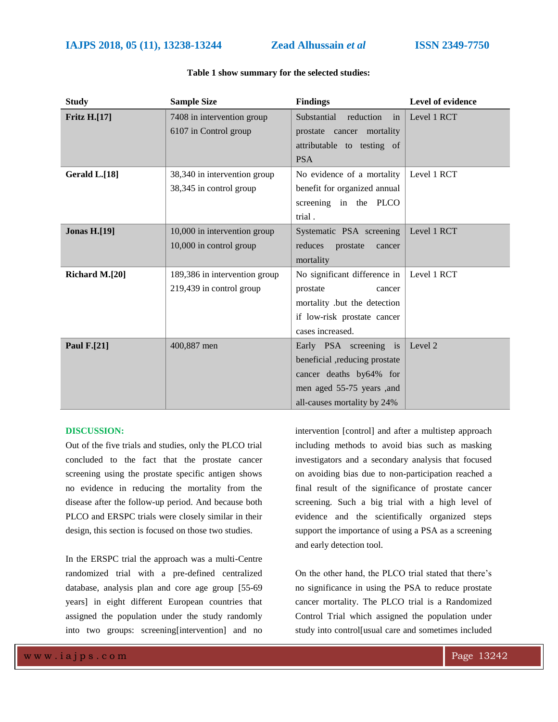| <b>Study</b>        | <b>Sample Size</b>            | <b>Findings</b>                | Level of evidence |
|---------------------|-------------------------------|--------------------------------|-------------------|
| <b>Fritz H.[17]</b> | 7408 in intervention group    | Substantial<br>reduction<br>in | Level 1 RCT       |
|                     | 6107 in Control group         | prostate cancer mortality      |                   |
|                     |                               | attributable to testing of     |                   |
|                     |                               | <b>PSA</b>                     |                   |
| Gerald L.[18]       | 38,340 in intervention group  | No evidence of a mortality     | Level 1 RCT       |
|                     | 38,345 in control group       | benefit for organized annual   |                   |
|                     |                               | screening in the PLCO          |                   |
|                     |                               | trial.                         |                   |
| <b>Jonas H.[19]</b> | 10,000 in intervention group  | Systematic PSA screening       | Level 1 RCT       |
|                     | 10,000 in control group       | reduces<br>prostate<br>cancer  |                   |
|                     |                               | mortality                      |                   |
| Richard M.[20]      | 189,386 in intervention group | No significant difference in   | Level 1 RCT       |
|                     | 219,439 in control group      | prostate<br>cancer             |                   |
|                     |                               | mortality .but the detection   |                   |
|                     |                               | if low-risk prostate cancer    |                   |
|                     |                               | cases increased.               |                   |
| <b>Paul F.[21]</b>  | 400,887 men                   | Early PSA screening is         | Level 2           |
|                     |                               | beneficial ,reducing prostate  |                   |
|                     |                               | cancer deaths by64% for        |                   |
|                     |                               | men aged 55-75 years ,and      |                   |
|                     |                               | all-causes mortality by 24%    |                   |

#### **Table 1 show summary for the selected studies:**

### **DISCUSSION:**

Out of the five trials and studies, only the PLCO trial concluded to the fact that the prostate cancer screening using the prostate specific antigen shows no evidence in reducing the mortality from the disease after the follow-up period. And because both PLCO and ERSPC trials were closely similar in their design, this section is focused on those two studies.

In the ERSPC trial the approach was a multi-Centre randomized trial with a pre-defined centralized database, analysis plan and core age group [55-69 years] in eight different European countries that assigned the population under the study randomly into two groups: screening[intervention] and no intervention [control] and after a multistep approach including methods to avoid bias such as masking investigators and a secondary analysis that focused on avoiding bias due to non-participation reached a final result of the significance of prostate cancer screening. Such a big trial with a high level of evidence and the scientifically organized steps support the importance of using a PSA as a screening and early detection tool.

On the other hand, the PLCO trial stated that there's no significance in using the PSA to reduce prostate cancer mortality. The PLCO trial is a Randomized Control Trial which assigned the population under study into control[usual care and sometimes included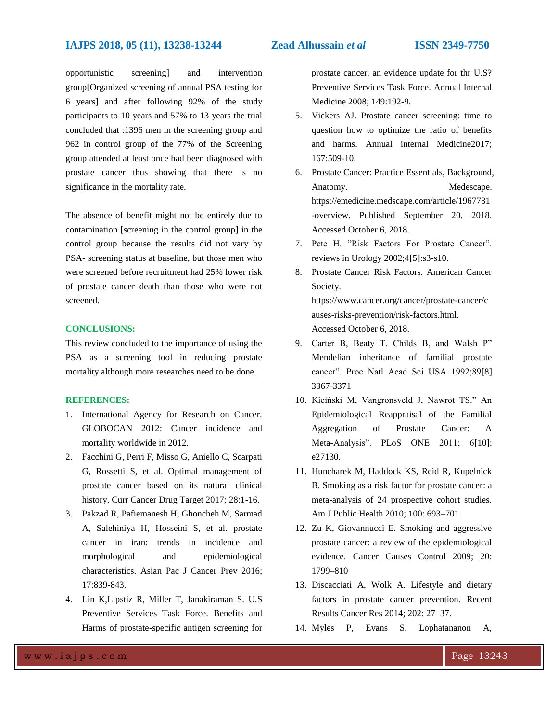opportunistic screening] and intervention group[Organized screening of annual PSA testing for 6 years] and after following 92% of the study participants to 10 years and 57% to 13 years the trial concluded that :1396 men in the screening group and 962 in control group of the 77% of the Screening group attended at least once had been diagnosed with prostate cancer thus showing that there is no significance in the mortality rate.

The absence of benefit might not be entirely due to contamination [screening in the control group] in the control group because the results did not vary by PSA- screening status at baseline, but those men who were screened before recruitment had 25% lower risk of prostate cancer death than those who were not screened.

#### **CONCLUSIONS:**

This review concluded to the importance of using the PSA as a screening tool in reducing prostate mortality although more researches need to be done.

#### **REFERENCES:**

- 1. International Agency for Research on Cancer. GLOBOCAN 2012: Cancer incidence and mortality worldwide in 2012.
- 2. Facchini G, Perri F, Misso G, Aniello C, Scarpati G, Rossetti S, et al. Optimal management of prostate cancer based on its natural clinical history. Curr Cancer Drug Target 2017; 28:1-16.
- 3. Pakzad R, Pafiemanesh H, Ghoncheh M, Sarmad A, Salehiniya H, Hosseini S, et al. prostate cancer in iran: trends in incidence and morphological and epidemiological characteristics. Asian Pac J Cancer Prev 2016; 17:839-843.
- 4. Lin K,Lipstiz R, Miller T, Janakiraman S. U.S Preventive Services Task Force. Benefits and Harms of prostate-specific antigen screening for

prostate cancer. an evidence update for thr U.S? Preventive Services Task Force. Annual Internal Medicine 2008; 149:192-9.

- 5. Vickers AJ. Prostate cancer screening: time to question how to optimize the ratio of benefits and harms. Annual internal Medicine2017; 167:509-10.
- 6. Prostate Cancer: Practice Essentials, Background, Anatomy. Medescape. https://emedicine.medscape.com/article/1967731 -overview. Published September 20, 2018. Accessed October 6, 2018.
- 7. Pete H. "Risk Factors For Prostate Cancer". reviews in Urology 2002;4[5]:s3-s10.
- 8. Prostate Cancer Risk Factors. American Cancer Society. https://www.cancer.org/cancer/prostate-cancer/c auses-risks-prevention/risk-factors.html. Accessed October 6, 2018.
- 9. Carter B, Beaty T. Childs B, and Walsh P" Mendelian inheritance of familial prostate cancer". Proc Natl Acad Sci USA 1992;89[8] 3367-3371
- 10. Kiciński M, Vangronsveld J, Nawrot TS." An Epidemiological Reappraisal of the Familial Aggregation of Prostate Cancer: A Meta-Analysis". PLoS ONE 2011; 6[10]: e27130.
- 11. Huncharek M, Haddock KS, Reid R, Kupelnick B. Smoking as a risk factor for prostate cancer: a meta-analysis of 24 prospective cohort studies. Am J Public Health 2010; 100: 693–701.
- 12. Zu K, Giovannucci E. Smoking and aggressive prostate cancer: a review of the epidemiological evidence. Cancer Causes Control 2009; 20: 1799–810
- 13. Discacciati A, Wolk A. Lifestyle and dietary factors in prostate cancer prevention. Recent Results Cancer Res 2014; 202: 27–37.
- 14. Myles P, Evans S, Lophatananon A,